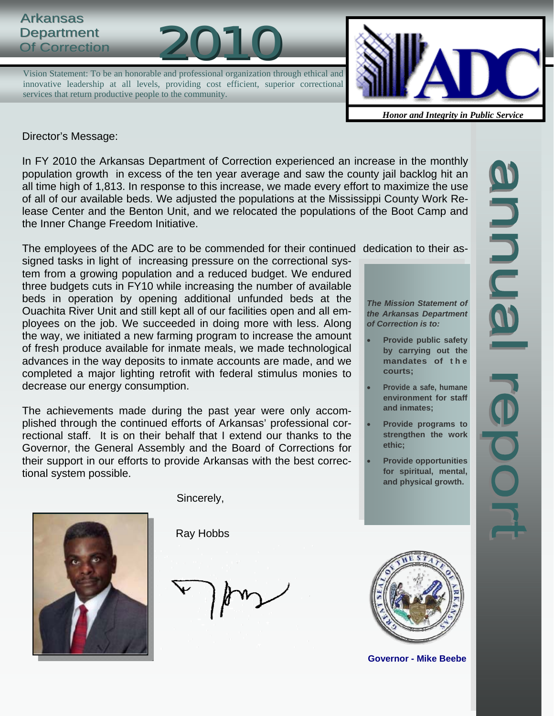## **Arkansas** Department<br>Of Correction



Vision Statement: To be an honorable and professional organization through ethical and innovative leadership at all levels, providing cost efficient, superior correctional services that return productive people to the community.



*Honor and Integrity in Public Service*

Director's Message:

In FY 2010 the Arkansas Department of Correction experienced an increase in the monthly population growth in excess of the ten year average and saw the county jail backlog hit an all time high of 1,813. In response to this increase, we made every effort to maximize the use of all of our available beds. We adjusted the populations at the Mississippi County Work Release Center and the Benton Unit, and we relocated the populations of the Boot Camp and the Inner Change Freedom Initiative.

The employees of the ADC are to be commended for their continued dedication to their as-

signed tasks in light of increasing pressure on the correctional system from a growing population and a reduced budget. We endured three budgets cuts in FY10 while increasing the number of available beds in operation by opening additional unfunded beds at the Ouachita River Unit and still kept all of our facilities open and all employees on the job. We succeeded in doing more with less. Along the way, we initiated a new farming program to increase the amount of fresh produce available for inmate meals, we made technological advances in the way deposits to inmate accounts are made, and we completed a major lighting retrofit with federal stimulus monies to decrease our energy consumption.

The achievements made during the past year were only accomplished through the continued efforts of Arkansas' professional correctional staff. It is on their behalf that I extend our thanks to the Governor, the General Assembly and the Board of Corrections for their support in our efforts to provide Arkansas with the best correctional system possible.

*The Mission Statement of the Arkansas Department of Correction is to:* 

- **Provide public safety by carrying out the mandates of t h e courts;**
- **Provide a safe, humane environment for staff and inmates;**
- **Provide programs to strengthen the work ethic;**
- **Provide opportunities for spiritual, mental, and physical growth.**



Sincerely,

Ray Hobbs



**Governor - Mike Beebe**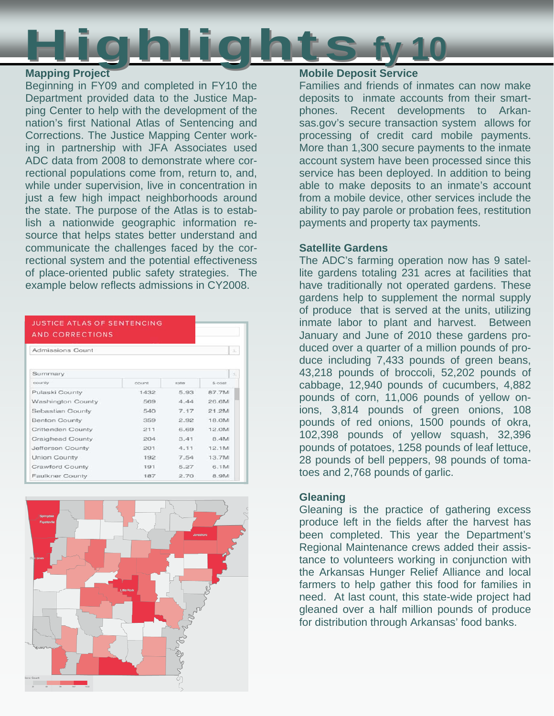

## **Mapping Project**

Beginning in FY09 and completed in FY10 the Department provided data to the Justice Mapping Center to help with the development of the nation's first National Atlas of Sentencing and Corrections. The Justice Mapping Center working in partnership with JFA Associates used ADC data from 2008 to demonstrate where correctional populations come from, return to, and, while under supervision, live in concentration in just a few high impact neighborhoods around the state. The purpose of the Atlas is to establish a nationwide geographic information resource that helps states better understand and communicate the challenges faced by the correctional system and the potential effectiveness of place-oriented public safety strategies. The example below reflects admissions in CY2008.

| Admissions Count         |       |       |         |
|--------------------------|-------|-------|---------|
| Summary                  |       |       |         |
| county                   | count | rates | \$ cost |
| Pulaski County           | 1432  | 5.93  | 87.7M   |
| <b>Washington County</b> | 569   | 4.44  | 26.6M   |
| Sebastian County         | 540   | 717   | 21.2M   |
| <b>Benton County</b>     | 359   | 2.92  | 18.0M   |
| Crittenden County        | 211   | 6.69  | 12.0M   |
| Craighead County         | 204   | 3.41  | 8.4M    |
| Jefferson County         | 201   | 4.11  | 12.1M   |
| Union County             | 192   | 7.54  | 13.7M   |
| Crawford County          | 191   | 5.27  | 6.1M    |
| Faulkner County          | 187   | 2.70  | 8.9M    |



## **Mobile Deposit Service**

Families and friends of inmates can now make deposits to inmate accounts from their smartphones. Recent developments to Arkansas.gov's secure transaction system allows for processing of credit card mobile payments. More than 1,300 secure payments to the inmate account system have been processed since this service has been deployed. In addition to being able to make deposits to an inmate's account from a mobile device, other services include the ability to pay parole or probation fees, restitution payments and property tax payments.

## **Satellite Gardens**

The ADC's farming operation now has 9 satellite gardens totaling 231 acres at facilities that have traditionally not operated gardens. These gardens help to supplement the normal supply of produce that is served at the units, utilizing inmate labor to plant and harvest. Between January and June of 2010 these gardens produced over a quarter of a million pounds of produce including 7,433 pounds of green beans, 43,218 pounds of broccoli, 52,202 pounds of cabbage, 12,940 pounds of cucumbers, 4,882 pounds of corn, 11,006 pounds of yellow onions, 3,814 pounds of green onions, 108 pounds of red onions, 1500 pounds of okra, 102,398 pounds of yellow squash, 32,396 pounds of potatoes, 1258 pounds of leaf lettuce, 28 pounds of bell peppers, 98 pounds of tomatoes and 2,768 pounds of garlic.

## **Gleaning**

Gleaning is the practice of gathering excess produce left in the fields after the harvest has been completed. This year the Department's Regional Maintenance crews added their assistance to volunteers working in conjunction with the Arkansas Hunger Relief Alliance and local farmers to help gather this food for families in need. At last count, this state-wide project had gleaned over a half million pounds of produce for distribution through Arkansas' food banks.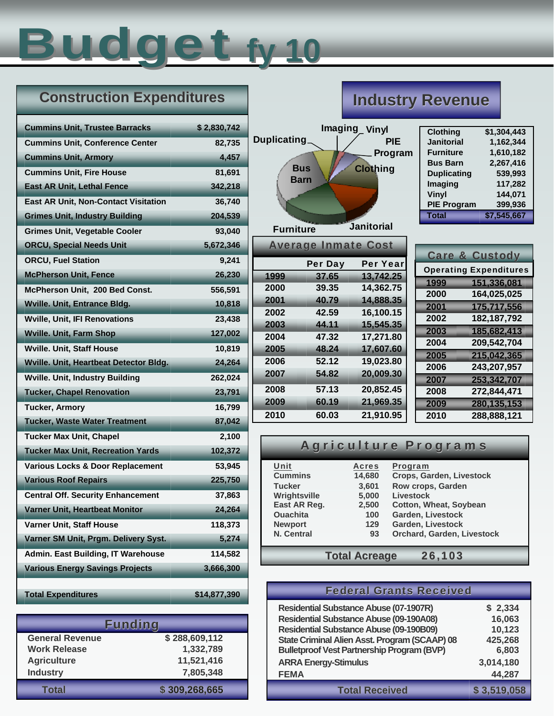# Budget **fy 10**

## **Construction Expenditures**

| <b>Cummins Unit, Trustee Barracks</b>       | \$2,830,742  |
|---------------------------------------------|--------------|
| <b>Cummins Unit, Conference Center</b>      | 82,735       |
| <b>Cummins Unit, Armory</b>                 | 4,457        |
| <b>Cummins Unit, Fire House</b>             | 81,691       |
| <b>East AR Unit, Lethal Fence</b>           | 342,218      |
| <b>East AR Unit, Non-Contact Visitation</b> | 36,740       |
| <b>Grimes Unit, Industry Building</b>       | 204,539      |
| <b>Grimes Unit, Vegetable Cooler</b>        | 93.040       |
| <b>ORCU, Special Needs Unit</b>             | 5,672,346    |
| <b>ORCU, Fuel Station</b>                   | 9,241        |
| <b>McPherson Unit, Fence</b>                | 26,230       |
| McPherson Unit, 200 Bed Const.              | 556,591      |
| <b>Wville. Unit, Entrance Bldg.</b>         | 10,818       |
| <b>Wville, Unit, IFI Renovations</b>        | 23,438       |
| <b>Wville. Unit, Farm Shop</b>              | 127,002      |
| <b>Wville. Unit, Staff House</b>            | 10,819       |
| Wville. Unit, Heartbeat Detector Bldg.      | 24,264       |
| <b>Wville. Unit, Industry Building</b>      | 262,024      |
| <b>Tucker, Chapel Renovation</b>            | 23,791       |
| <b>Tucker, Armory</b>                       | 16,799       |
| <b>Tucker, Waste Water Treatment</b>        | 87,042       |
| <b>Tucker Max Unit, Chapel</b>              | 2,100        |
| <b>Tucker Max Unit, Recreation Yards</b>    | 102,372      |
| Various Locks & Door Replacement            | 53,945       |
| <b>Various Roof Repairs</b>                 | 225,750      |
| <b>Central Off. Security Enhancement</b>    | 37,863       |
| Varner Unit, Heartbeat Monitor              | 24,264       |
| Varner Unit, Staff House                    | 118,373      |
| Varner SM Unit, Prgm. Delivery Syst.        | 5,274        |
| Admin. East Building, IT Warehouse          | 114,582      |
| <b>Various Energy Savings Projects</b>      | 3,666,300    |
|                                             |              |
| <b>Total Expenditures</b>                   | \$14,877,390 |

|                        | <b>Funding</b> |
|------------------------|----------------|
| <b>General Revenue</b> | \$288,609,112  |
| <b>Work Release</b>    | 1,332,789      |
| <b>Agriculture</b>     | 11,521,416     |
| <b>Industry</b>        | 7,805,348      |
| <b>Total</b>           | \$309,268,665  |

## **Industry Revenue**

| <b>Duplicating</b> | <b>Bus</b><br><b>Barn</b>  | Imaging_Vinyl<br><b>PIE</b><br>Program<br><b>Clothing</b> |  |
|--------------------|----------------------------|-----------------------------------------------------------|--|
| <b>Furniture</b>   |                            | <b>Janitorial</b>                                         |  |
|                    | <b>Average Inmate Cost</b> |                                                           |  |
|                    | Per Day                    | <b>Per Year</b>                                           |  |
| 1999               | 37.65                      | 13,742.25                                                 |  |
| 2000               | 39.35                      | 14,362.75                                                 |  |
| 2001               | 40.79                      | 14,888.35                                                 |  |
| 2002               | 42.59                      | 16,100.15                                                 |  |
| 2003               | 44.11                      | 15,545.35                                                 |  |
| 2004               | 47.32                      | 17,271.80                                                 |  |
| 2005               | 48.24                      | 17,607.60                                                 |  |
| 2006               | 52.12                      | 19,023.80                                                 |  |
| 2007               | 54.82                      | 20,009.30                                                 |  |
| 2008               | 57.13                      | 20,852.45                                                 |  |
| 2009               | 60.19                      | 21,969.35                                                 |  |
| 2010               | 60.03                      | 21,910.95                                                 |  |

| <b>Clothing</b>    | \$1,304,443 |
|--------------------|-------------|
| <b>Janitorial</b>  | 1,162,344   |
| <b>Furniture</b>   | 1,610,182   |
| <b>Bus Barn</b>    | 2,267,416   |
| <b>Duplicating</b> | 539,993     |
| Imaging            | 117,282     |
| Vinyl              | 144,071     |
| <b>PIE Program</b> | 399,936     |
| <b>Total</b>       | \$7,545,667 |
|                    |             |

|      | <b>Care &amp; Custody</b>     |
|------|-------------------------------|
|      | <b>Operating Expenditures</b> |
| 1999 | 151,336,081                   |
| 2000 | 164,025,025                   |
| 2001 | 175,717,556                   |
| 2002 | 182, 187, 792                 |
| 2003 | 185,682,413                   |
| 2004 | 209,542,704                   |
| 2005 | 215,042,365                   |
| 2006 | 243,207,957                   |
| 2007 | 253,342,707                   |
| 2008 | 272,844,471                   |
| 2009 | 280,135,153                   |
| 2010 | 288,888,121                   |

## Agriculture Programs

| Unit            | <b>Acres</b>         | Program                       |  |  |  |  |
|-----------------|----------------------|-------------------------------|--|--|--|--|
| <b>Cummins</b>  | 14,680               | Crops, Garden, Livestock      |  |  |  |  |
| <b>Tucker</b>   | 3,601                | Row crops, Garden             |  |  |  |  |
| Wrightsville    | 5,000                | Livestock                     |  |  |  |  |
| East AR Reg.    | 2,500                | <b>Cotton, Wheat, Soybean</b> |  |  |  |  |
| <b>Ouachita</b> | 100                  | Garden, Livestock             |  |  |  |  |
| <b>Newport</b>  | 129                  | Garden, Livestock             |  |  |  |  |
| N. Central      | 93                   | Orchard, Garden, Livestock    |  |  |  |  |
|                 |                      |                               |  |  |  |  |
|                 | <b>Total Acreage</b> | 26,103                        |  |  |  |  |

| <b>Federal Grants Received</b>                    |             |
|---------------------------------------------------|-------------|
| <b>Residential Substance Abuse (07-1907R)</b>     | \$2,334     |
| <b>Residential Substance Abuse (09-190A08)</b>    | 16,063      |
| <b>Residential Substance Abuse (09-190B09)</b>    | 10,123      |
| State Criminal Alien Asst. Program (SCAAP) 08     | 425,268     |
| <b>Bulletproof Vest Partnership Program (BVP)</b> | 6,803       |
| <b>ARRA Energy-Stimulus</b>                       | 3,014,180   |
| <b>FEMA</b>                                       | 44,287      |
| <b>Total Received</b>                             | \$3,519,058 |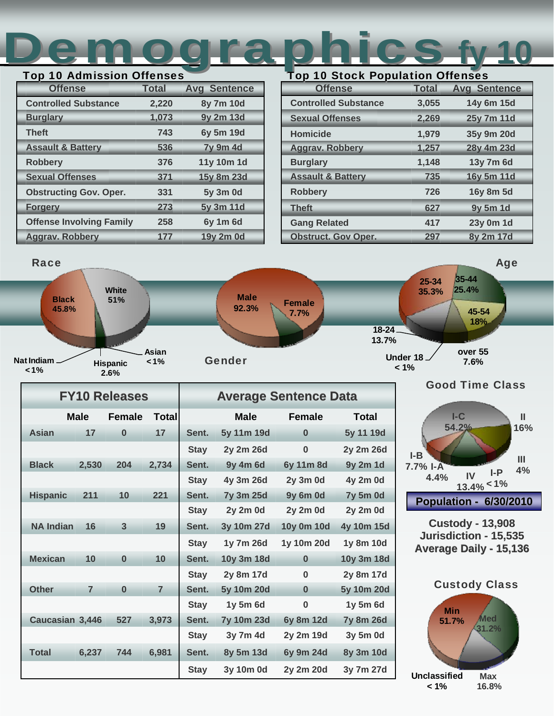## Demographics Top 10 Admission Offenses Top 10 Stock Population Offenses **fy 10**

| . vm<br>19 AGUUSSIGN 911611363  |              |                     |  |  |  |  |  |  |  |  |
|---------------------------------|--------------|---------------------|--|--|--|--|--|--|--|--|
| <b>Offense</b>                  | <b>Total</b> | <b>Avg Sentence</b> |  |  |  |  |  |  |  |  |
| <b>Controlled Substance</b>     | 2,220        | 8y 7m 10d           |  |  |  |  |  |  |  |  |
| <b>Burglary</b>                 | 1,073        | 9y 2m 13d           |  |  |  |  |  |  |  |  |
| <b>Theft</b>                    | 743          | 6y 5m 19d           |  |  |  |  |  |  |  |  |
| <b>Assault &amp; Battery</b>    | 536          | <b>7y 9m 4d</b>     |  |  |  |  |  |  |  |  |
| <b>Robbery</b>                  | 376          | 11y 10m 1d          |  |  |  |  |  |  |  |  |
| <b>Sexual Offenses</b>          | 371          | 15y 8m 23d          |  |  |  |  |  |  |  |  |
| <b>Obstructing Gov. Oper.</b>   | 331          | 5y 3m 0d            |  |  |  |  |  |  |  |  |
| <b>Forgery</b>                  | 273          | 5y 3m 11d           |  |  |  |  |  |  |  |  |
| <b>Offense Involving Family</b> | 258          | 6y 1m 6d            |  |  |  |  |  |  |  |  |
| <b>Aggrav. Robbery</b>          | 177          | 19y 2m 0d           |  |  |  |  |  |  |  |  |

| <b>Offense</b>               | <b>Total</b> | <b>Avg Sentence</b> |
|------------------------------|--------------|---------------------|
| <b>Controlled Substance</b>  | 3,055        | 14y 6m 15d          |
| <b>Sexual Offenses</b>       | 2,269        | 25y 7m 11d          |
| <b>Homicide</b>              | 1,979        | 35y 9m 20d          |
| <b>Aggrav. Robbery</b>       | 1,257        | 28y 4m 23d          |
| <b>Burglary</b>              | 1,148        | 13y 7m 6d           |
| <b>Assault &amp; Battery</b> | 735          | 16y 5m 11d          |
| <b>Robbery</b>               | 726          | 16y 8m 5d           |
| <b>Theft</b>                 | 627          | 9y 5m 1d            |
| <b>Gang Related</b>          | 417          | 23y 0m 1d           |
| <b>Obstruct. Gov Oper.</b>   | 297          | 8y 2m 17d           |



|                  |                | <b>FY10 Releases</b> |                | <b>Average Sentence Data</b> |                   |                 |                  |  |  |
|------------------|----------------|----------------------|----------------|------------------------------|-------------------|-----------------|------------------|--|--|
|                  | <b>Male</b>    | <b>Female</b>        | Total          |                              | <b>Male</b>       | <b>Female</b>   |                  |  |  |
| Asian            | 17             | $\bf{0}$             | 17             | Sent.                        | 5y 11m 19d        | $\bf{0}$        | 5y 11 19d        |  |  |
|                  |                |                      |                | <b>Stay</b>                  | 2y 2m 26d         | $\bf{0}$        | 2y 2m 26d        |  |  |
| <b>Black</b>     | 2,530          | 204                  | 2,734          | Sent.                        | 9y 4m 6d          | 6y 11m 8d       | 9y 2m 1d         |  |  |
|                  |                |                      |                | <b>Stay</b>                  | 4y 3m 26d         | <b>2y 3m 0d</b> | 4y 2m 0d         |  |  |
| <b>Hispanic</b>  | 211            | 10                   | 221            | Sent.                        | 7y 3m 25d         | <b>9y 6m 0d</b> | <b>7y 5m 0d</b>  |  |  |
|                  |                |                      |                | <b>Stay</b>                  | 2y 2m 0d          | 2y 2m 0d        | 2y 2m 0d         |  |  |
| <b>NA Indian</b> | 16             | $\overline{3}$       | 19             | Sent.                        | 3y 10m 27d        | 10y 0m 10d      | 4y 10m 15d       |  |  |
|                  |                |                      |                | <b>Stay</b>                  | 1y 7m 26d         | 1y 10m 20d      | 1y 8m 10d        |  |  |
| <b>Mexican</b>   | 10             | $\bf{0}$             | 10             | Sent.                        | 10y 3m 18d        | $\bf{0}$        | 10y 3m 18d       |  |  |
|                  |                |                      |                | <b>Stay</b>                  | 2y 8m 17d         | $\bf{0}$        | 2y 8m 17d        |  |  |
| <b>Other</b>     | $\overline{7}$ | $\bf{0}$             | $\overline{7}$ | Sent.                        | 5y 10m 20d        | $\bf{0}$        | 5y 10m 20d       |  |  |
|                  |                |                      |                | <b>Stay</b>                  | 1y 5m 6d          | $\bf{0}$        | 1y 5m 6d         |  |  |
| Caucasian 3,446  |                | 527                  | 3,973          | Sent.                        | <b>7y 10m 23d</b> | 6y 8m 12d       | <b>7y 8m 26d</b> |  |  |
|                  |                |                      |                | <b>Stay</b>                  | 3y 7m 4d          | 2y 2m 19d       | 3y 5m 0d         |  |  |
| <b>Total</b>     | 6,237          | 744                  | 6,981          | Sent.                        | 8y 5m 13d         | 6y 9m 24d       | 8y 3m 10d        |  |  |
|                  |                |                      |                | <b>Stay</b>                  | 3y 10m 0d         | 2y 2m 20d       | 3y 7m 27d        |  |  |



**Custody Custody - 13,908 Jurisdiction Jurisdiction - 15,535** Average Daily - 15,136

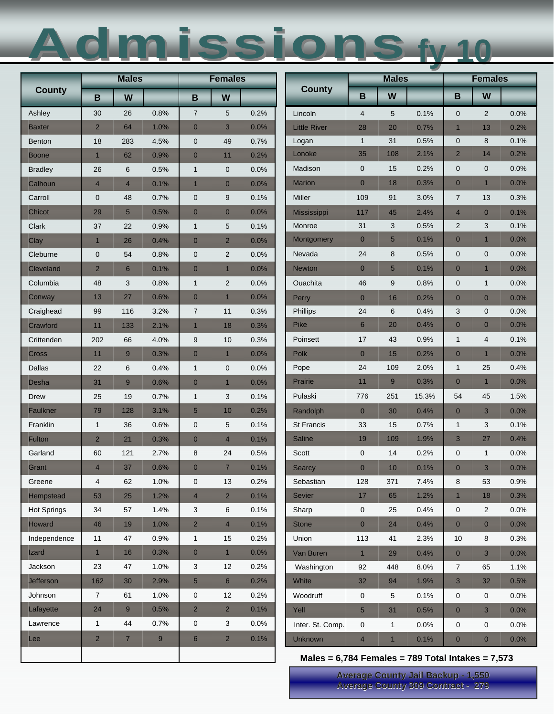## Admissions Admissions**fy 10**

|                    |                | <b>Males</b>    |      | <b>Females</b>  |                  |      |                                                     | <b>Males</b>             |              |       | <b>Females</b> |                         |      |
|--------------------|----------------|-----------------|------|-----------------|------------------|------|-----------------------------------------------------|--------------------------|--------------|-------|----------------|-------------------------|------|
| <b>County</b>      | B              | W               |      | B               | W                |      | <b>County</b>                                       | B                        | W            |       | B              | W                       |      |
| Ashley             | 30             | 26              | 0.8% | $\overline{7}$  | 5                | 0.2% | Lincoln                                             | $\overline{4}$           | 5            | 0.1%  | $\mathbf 0$    | 2                       | 0.0% |
| Baxter             | $\overline{2}$ | 64              | 1.0% | $\mathbf{0}$    | 3                | 0.0% | <b>Little River</b>                                 | 28                       | 20           | 0.7%  | $\mathbf{1}$   | 13                      | 0.2% |
| <b>Benton</b>      | 18             | 283             | 4.5% | $\mathbf 0$     | 49               | 0.7% | Logan                                               | $\mathbf{1}$             | 31           | 0.5%  | 0              | 8                       | 0.1% |
| Boone              | $\overline{1}$ | 62              | 0.9% | $\mathbf{0}$    | 11               | 0.2% | Lonoke                                              | 35                       | 108          | 2.1%  | $\overline{2}$ | 14                      | 0.2% |
| <b>Bradley</b>     | 26             | 6               | 0.5% | $\mathbf{1}$    | $\pmb{0}$        | 0.0% | Madison                                             | $\mathbf 0$              | 15           | 0.2%  | 0              | $\pmb{0}$               | 0.0% |
| Calhoun            | $\overline{4}$ | $\overline{4}$  | 0.1% | $\overline{1}$  | $\mathbf{0}$     | 0.0% | <b>Marion</b>                                       | $\mathbf{0}$             | 18           | 0.3%  | $\overline{0}$ | $\mathbf{1}$            | 0.0% |
| Carroll            | $\mathbf 0$    | 48              | 0.7% | $\mathbf 0$     | $\boldsymbol{9}$ | 0.1% | Miller                                              | 109                      | 91           | 3.0%  | $\overline{7}$ | 13                      | 0.3% |
| Chicot             | 29             | $5\phantom{1}$  | 0.5% | $\overline{0}$  | $\mathbf{0}$     | 0.0% | <b>Mississippi</b>                                  | 117                      | 45           | 2.4%  | $\overline{4}$ | $\mathbf{0}$            | 0.1% |
| Clark              | 37             | 22              | 0.9% | $\mathbf{1}$    | 5                | 0.1% | Monroe                                              | 31                       | 3            | 0.5%  | $\overline{2}$ | 3                       | 0.1% |
| Clay               | 1              | 26              | 0.4% | $\mathbf{0}$    | $\overline{2}$   | 0.0% | Montgomery                                          | $\mathbf{0}$             | 5            | 0.1%  | $\mathbf{0}$   | $\mathbf{1}$            | 0.0% |
| Cleburne           | $\mathbf 0$    | 54              | 0.8% | $\mathbf 0$     | $\overline{2}$   | 0.0% | Nevada                                              | 24                       | 8            | 0.5%  | $\mathbf 0$    | $\mathbf 0$             | 0.0% |
| <b>Cleveland</b>   | $\overline{2}$ | $6\phantom{1}6$ | 0.1% | $\overline{0}$  | $\overline{1}$   | 0.0% | <b>Newton</b>                                       | $\overline{0}$           | 5            | 0.1%  | $\overline{0}$ | $\mathbf{1}$            | 0.0% |
| Columbia           | 48             | 3               | 0.8% | $\mathbf{1}$    | $\overline{2}$   | 0.0% | Ouachita                                            | 46                       | 9            | 0.8%  | $\mathbf 0$    | $\mathbf{1}$            | 0.0% |
| Conway             | 13             | 27              | 0.6% | $\mathbf 0$     | 1                | 0.0% | Perry                                               | $\overline{0}$           | 16           | 0.2%  | $\mathbf{0}$   | $\mathbf{0}$            | 0.0% |
| Craighead          | 99             | 116             | 3.2% | $\overline{7}$  | 11               | 0.3% | Phillips                                            | 24                       | 6            | 0.4%  | 3              | $\mathbf 0$             | 0.0% |
| Crawford           | 11             | 133             | 2.1% | $\overline{1}$  | 18               | 0.3% | <b>Pike</b>                                         | 6                        | 20           | 0.4%  | $\overline{0}$ | $\mathbf{0}$            | 0.0% |
| Crittenden         | 202            | 66              | 4.0% | 9               | 10               | 0.3% | Poinsett                                            | 17                       | 43           | 0.9%  | $\mathbf{1}$   | $\overline{\mathbf{4}}$ | 0.1% |
| Cross              | 11             | 9               | 0.3% | $\mathbf{0}$    | $\overline{1}$   | 0.0% | Polk                                                | $\mathbf{0}$             | 15           | 0.2%  | $\overline{0}$ | $\mathbf{1}$            | 0.0% |
| Dallas             | 22             | 6               | 0.4% | $\mathbf{1}$    | 0                | 0.0% | Pope                                                | 24                       | 109          | 2.0%  | $\mathbf{1}$   | 25                      | 0.4% |
| Desha              | 31             | 9               | 0.6% | $\overline{0}$  | $\mathbf{1}$     | 0.0% | Prairie                                             | 11                       | 9            | 0.3%  | $\overline{0}$ | $\mathbf{1}$            | 0.0% |
| <b>Drew</b>        | 25             | 19              | 0.7% | $\mathbf{1}$    | 3                | 0.1% | Pulaski                                             | 776                      | 251          | 15.3% | 54             | 45                      | 1.5% |
| Faulkner           | 79             | 128             | 3.1% | $5\overline{)}$ | 10               | 0.2% | Randolph                                            | $\mathbf{0}$             | 30           | 0.4%  | $\overline{0}$ | 3                       | 0.0% |
| Franklin           | $\mathbf{1}$   | 36              | 0.6% | $\mathbf 0$     | 5                | 0.1% | <b>St Francis</b>                                   | 33                       | 15           | 0.7%  | $\mathbf{1}$   | 3                       | 0.1% |
| <b>Fulton</b>      | $\overline{2}$ | 21              | 0.3% | $\mathbf 0$     | $\overline{4}$   | 0.1% | <b>Saline</b>                                       | 19                       | 109          | 1.9%  | 3              | 27                      | 0.4% |
| Garland            | 60             | 121             | 2.7% | 8               | 24               | 0.5% | Scott                                               | $\mathbf 0$              | 14           | 0.2%  | 0              | $\mathbf{1}$            | 0.0% |
| Grant              | $\overline{4}$ | 37              | 0.6% | $\mathbf{0}$    | $\overline{7}$   | 0.1% | <b>Searcy</b>                                       | $\mathbf{0}$             | 10           | 0.1%  | $\overline{0}$ | 3                       | 0.0% |
| Greene             | 4              | 62              | 1.0% | 0               | 13               | 0.2% | Sebastian                                           | 128                      | 371          | 7.4%  | 8              | 53                      | 0.9% |
| <b>Hempstead</b>   | 53             | 25              | 1.2% | $\overline{4}$  | $\overline{2}$   | 0.1% | <b>Sevier</b>                                       | 17                       | 65           | 1.2%  | $\mathbf{1}$   | 18                      | 0.3% |
| <b>Hot Springs</b> | 34             | 57              | 1.4% | 3               | 6                | 0.1% | Sharp                                               | $\pmb{0}$                | 25           | 0.4%  | 0              | $\overline{2}$          | 0.0% |
| <b>Howard</b>      | 46             | 19              | 1.0% | $\overline{2}$  | $\overline{4}$   | 0.1% | <b>Stone</b>                                        | $\mathbf 0$              | 24           | 0.4%  | $\overline{0}$ | $\mathbf{0}$            | 0.0% |
| Independence       | 11             | 47              | 0.9% | $\mathbf{1}$    | 15               | 0.2% | Union                                               | 113                      | 41           | 2.3%  | 10             | 8                       | 0.3% |
| Izard              | $\mathbf{1}$   | 16              | 0.3% | $\mathbf{0}$    | 1                | 0.0% | Van Buren                                           | $\mathbf{1}$             | 29           | 0.4%  | $\mathbf{O}$   | $\mathbf{3}$            | 0.0% |
| Jackson            | 23             | 47              | 1.0% | 3               | 12               | 0.2% | Washington                                          | 92                       | 448          | 8.0%  | $\overline{7}$ | 65                      | 1.1% |
| <b>Jefferson</b>   | 162            | 30              | 2.9% | $5\phantom{.0}$ | 6                | 0.2% | White                                               | 32                       | 94           | 1.9%  | 3              | 32                      | 0.5% |
| Johnson            | $\overline{7}$ | 61              | 1.0% | 0               | 12               | 0.2% | Woodruff                                            | $\pmb{0}$                | 5            | 0.1%  | $\mathbf 0$    | $\pmb{0}$               | 0.0% |
| Lafayette          | 24             | 9               | 0.5% | $\overline{2}$  | $\overline{2}$   | 0.1% | Yell                                                | $\overline{5}$           | 31           | 0.5%  | $\overline{0}$ | $\mathbf{3}$            | 0.0% |
| Lawrence           | $\mathbf{1}$   | 44              | 0.7% | 0               | 3                | 0.0% | Inter. St. Comp.                                    | $\pmb{0}$                | $\mathbf{1}$ | 0.0%  | 0              | 0                       | 0.0% |
| Lee                | $\overline{2}$ | $\overline{7}$  | 9    | $6\phantom{a}$  | $\overline{a}$   | 0.1% | <b>Unknown</b>                                      | $\overline{\mathcal{A}}$ | $\mathbf{1}$ | 0.1%  | $\overline{0}$ | $\mathbf 0$             | 0.0% |
|                    |                |                 |      |                 |                  |      | Males = $6,784$ Females = 789 Total Intakes = 7,573 |                          |              |       |                |                         |      |

**Average County Jail Backup - 1,550** 

**Average County 309 Contract - 279**